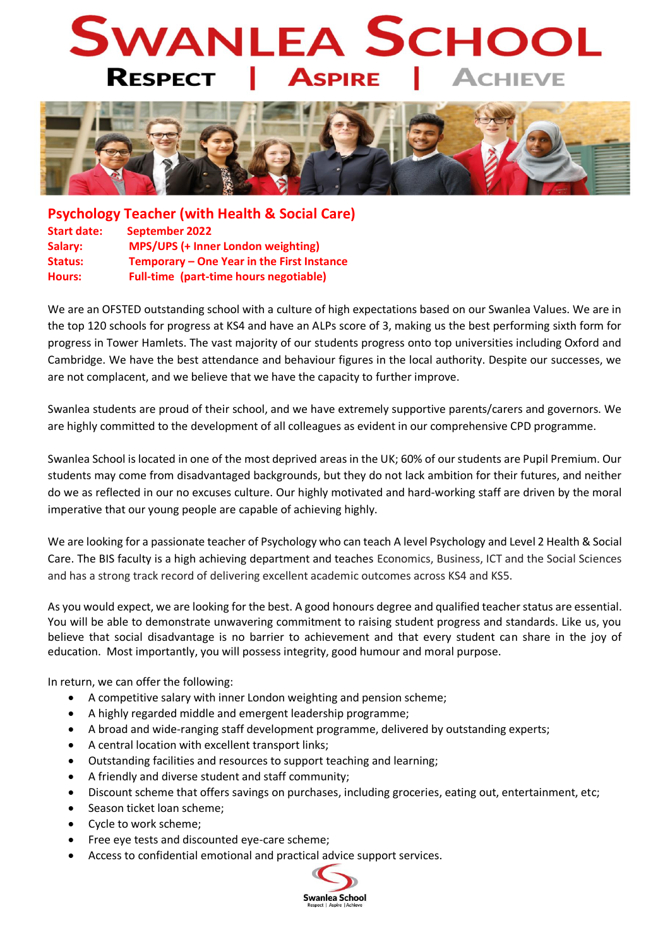## **SWANLEA SCHOO RESPECT ASPIRE**



**Psychology Teacher (with Health & Social Care) Start date: September 2022 Salary: MPS/UPS (+ Inner London weighting) Status: Temporary – One Year in the First Instance Hours: Full-time (part-time hours negotiable)**

We are an OFSTED outstanding school with a culture of high expectations based on our Swanlea Values. We are in the top 120 schools for progress at KS4 and have an ALPs score of 3, making us the best performing sixth form for progress in Tower Hamlets. The vast majority of our students progress onto top universities including Oxford and Cambridge. We have the best attendance and behaviour figures in the local authority. Despite our successes, we are not complacent, and we believe that we have the capacity to further improve.

Swanlea students are proud of their school, and we have extremely supportive parents/carers and governors. We are highly committed to the development of all colleagues as evident in our comprehensive CPD programme.

Swanlea School is located in one of the most deprived areas in the UK; 60% of our students are Pupil Premium. Our students may come from disadvantaged backgrounds, but they do not lack ambition for their futures, and neither do we as reflected in our no excuses culture. Our highly motivated and hard-working staff are driven by the moral imperative that our young people are capable of achieving highly.

We are looking for a passionate teacher of Psychology who can teach A level Psychology and Level 2 Health & Social Care. The BIS faculty is a high achieving department and teaches Economics, Business, ICT and the Social Sciences and has a strong track record of delivering excellent academic outcomes across KS4 and KS5.

As you would expect, we are looking for the best. A good honours degree and qualified teacher status are essential. You will be able to demonstrate unwavering commitment to raising student progress and standards. Like us, you believe that social disadvantage is no barrier to achievement and that every student can share in the joy of education. Most importantly, you will possess integrity, good humour and moral purpose.

In return, we can offer the following:

- A competitive salary with inner London weighting and pension scheme;
- A highly regarded middle and emergent leadership programme;
- A broad and wide-ranging staff development programme, delivered by outstanding experts;
- A central location with excellent transport links;
- Outstanding facilities and resources to support teaching and learning;
- A friendly and diverse student and staff community;
- Discount scheme that offers savings on purchases, including groceries, eating out, entertainment, etc;
- Season ticket loan scheme:
- Cycle to work scheme;
- Free eye tests and discounted eye-care scheme;
- Access to confidential emotional and practical advice support services.